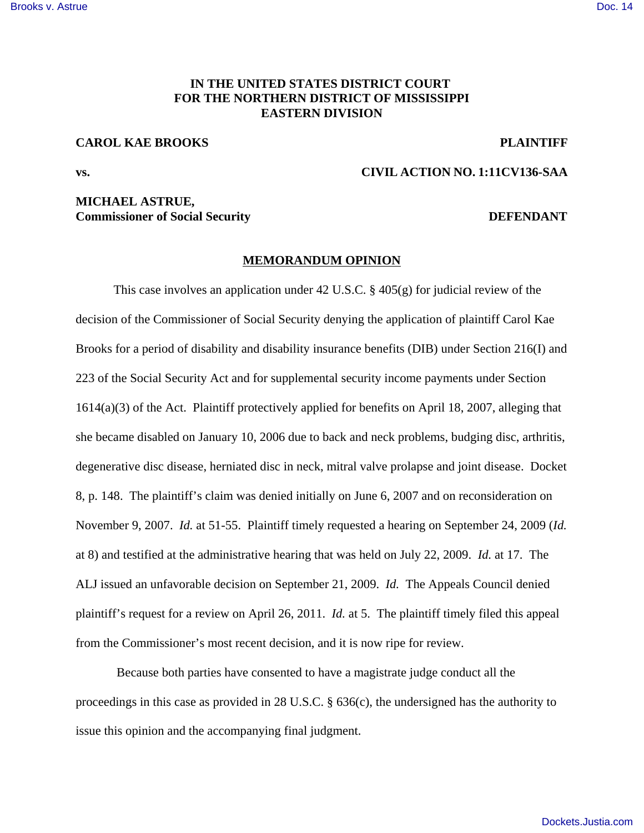# **IN THE UNITED STATES DISTRICT COURT FOR THE NORTHERN DISTRICT OF MISSISSIPPI EASTERN DIVISION**

### **CAROL KAE BROOKS PLAINTIFF**

**vs. CIVIL ACTION NO. 1:11CV136-SAA**

# **MICHAEL ASTRUE, Commissioner of Social Security DEFENDANT**

### **MEMORANDUM OPINION**

This case involves an application under 42 U.S.C. § 405(g) for judicial review of the decision of the Commissioner of Social Security denying the application of plaintiff Carol Kae Brooks for a period of disability and disability insurance benefits (DIB) under Section 216(I) and 223 of the Social Security Act and for supplemental security income payments under Section 1614(a)(3) of the Act. Plaintiff protectively applied for benefits on April 18, 2007, alleging that she became disabled on January 10, 2006 due to back and neck problems, budging disc, arthritis, degenerative disc disease, herniated disc in neck, mitral valve prolapse and joint disease. Docket 8, p. 148. The plaintiff's claim was denied initially on June 6, 2007 and on reconsideration on November 9, 2007. *Id.* at 51-55. Plaintiff timely requested a hearing on September 24, 2009 (*Id.* at 8) and testified at the administrative hearing that was held on July 22, 2009. *Id.* at 17. The ALJ issued an unfavorable decision on September 21, 2009. *Id.* The Appeals Council denied plaintiff's request for a review on April 26, 2011. *Id.* at 5. The plaintiff timely filed this appeal from the Commissioner's most recent decision, and it is now ripe for review.

 Because both parties have consented to have a magistrate judge conduct all the proceedings in this case as provided in 28 U.S.C. § 636(c), the undersigned has the authority to issue this opinion and the accompanying final judgment.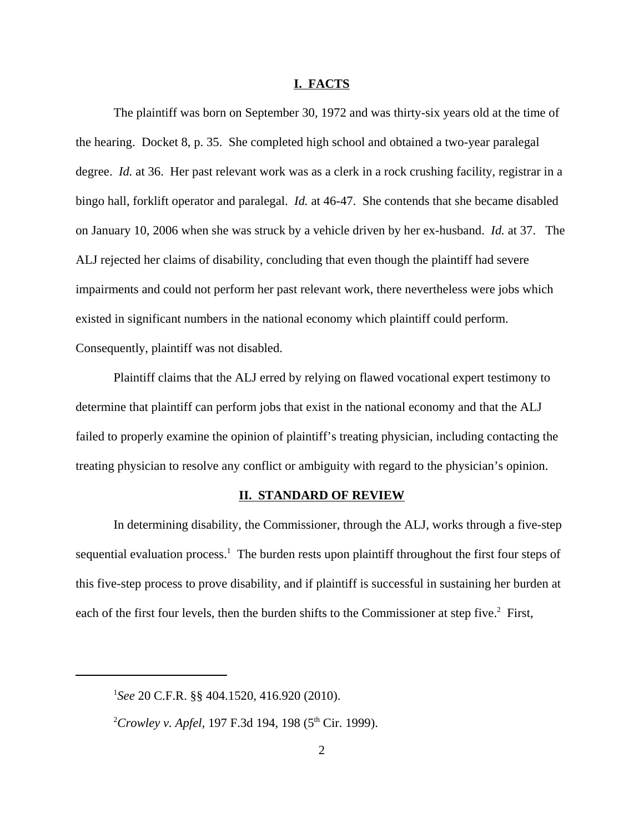#### **I. FACTS**

The plaintiff was born on September 30, 1972 and was thirty-six years old at the time of the hearing. Docket 8, p. 35. She completed high school and obtained a two-year paralegal degree. *Id.* at 36. Her past relevant work was as a clerk in a rock crushing facility, registrar in a bingo hall, forklift operator and paralegal. *Id.* at 46-47. She contends that she became disabled on January 10, 2006 when she was struck by a vehicle driven by her ex-husband. *Id.* at 37. The ALJ rejected her claims of disability, concluding that even though the plaintiff had severe impairments and could not perform her past relevant work, there nevertheless were jobs which existed in significant numbers in the national economy which plaintiff could perform. Consequently, plaintiff was not disabled.

Plaintiff claims that the ALJ erred by relying on flawed vocational expert testimony to determine that plaintiff can perform jobs that exist in the national economy and that the ALJ failed to properly examine the opinion of plaintiff's treating physician, including contacting the treating physician to resolve any conflict or ambiguity with regard to the physician's opinion.

### **II. STANDARD OF REVIEW**

In determining disability, the Commissioner, through the ALJ, works through a five-step sequential evaluation process.<sup>1</sup> The burden rests upon plaintiff throughout the first four steps of this five-step process to prove disability, and if plaintiff is successful in sustaining her burden at each of the first four levels, then the burden shifts to the Commissioner at step five.<sup>2</sup> First,

<sup>1</sup> *See* 20 C.F.R. §§ 404.1520, 416.920 (2010).

<sup>&</sup>lt;sup>2</sup>Crowley v. Apfel, 197 F.3d 194, 198 (5<sup>th</sup> Cir. 1999).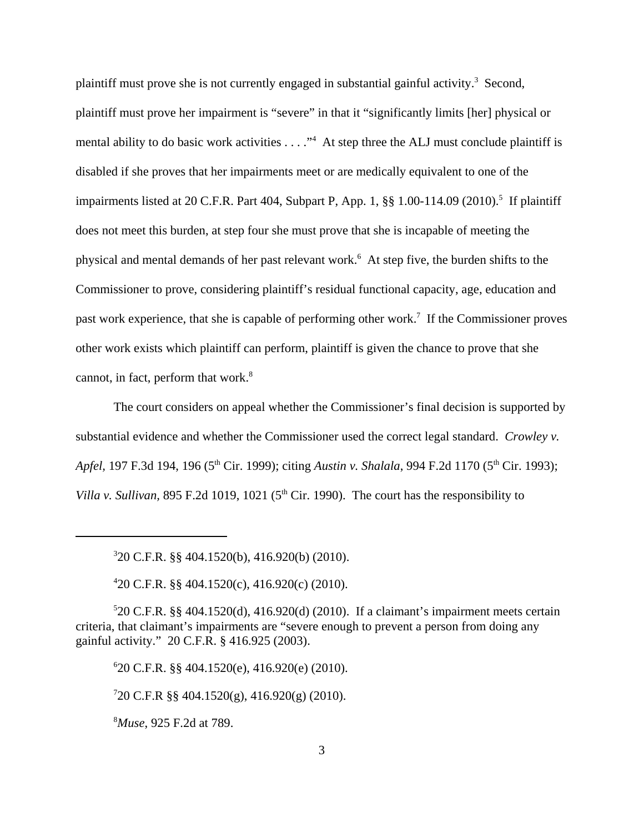plaintiff must prove she is not currently engaged in substantial gainful activity.<sup>3</sup> Second, plaintiff must prove her impairment is "severe" in that it "significantly limits [her] physical or mental ability to do basic work activities . . . ."<sup>4</sup> At step three the ALJ must conclude plaintiff is disabled if she proves that her impairments meet or are medically equivalent to one of the impairments listed at 20 C.F.R. Part 404, Subpart P, App. 1, §§ 1.00-114.09 (2010).<sup>5</sup> If plaintiff does not meet this burden, at step four she must prove that she is incapable of meeting the physical and mental demands of her past relevant work.<sup>6</sup> At step five, the burden shifts to the Commissioner to prove, considering plaintiff's residual functional capacity, age, education and past work experience, that she is capable of performing other work.<sup>7</sup> If the Commissioner proves other work exists which plaintiff can perform, plaintiff is given the chance to prove that she cannot, in fact, perform that work. $8$ 

The court considers on appeal whether the Commissioner's final decision is supported by substantial evidence and whether the Commissioner used the correct legal standard. *Crowley v. Apfel*, 197 F.3d 194, 196 (5<sup>th</sup> Cir. 1999); citing *Austin v. Shalala*, 994 F.2d 1170 (5<sup>th</sup> Cir. 1993); *Villa v. Sullivan,* 895 F.2d 1019, 1021 ( $5<sup>th</sup>$  Cir. 1990). The court has the responsibility to

6 20 C.F.R. §§ 404.1520(e), 416.920(e) (2010).

7 20 C.F.R §§ 404.1520(g), 416.920(g) (2010).

<sup>8</sup>*Muse*, 925 F.2d at 789.

<sup>3</sup> 20 C.F.R. §§ 404.1520(b), 416.920(b) (2010).

<sup>4</sup> 20 C.F.R. §§ 404.1520(c), 416.920(c) (2010).

<sup>5</sup> 20 C.F.R. §§ 404.1520(d), 416.920(d) (2010). If a claimant's impairment meets certain criteria, that claimant's impairments are "severe enough to prevent a person from doing any gainful activity." 20 C.F.R. § 416.925 (2003).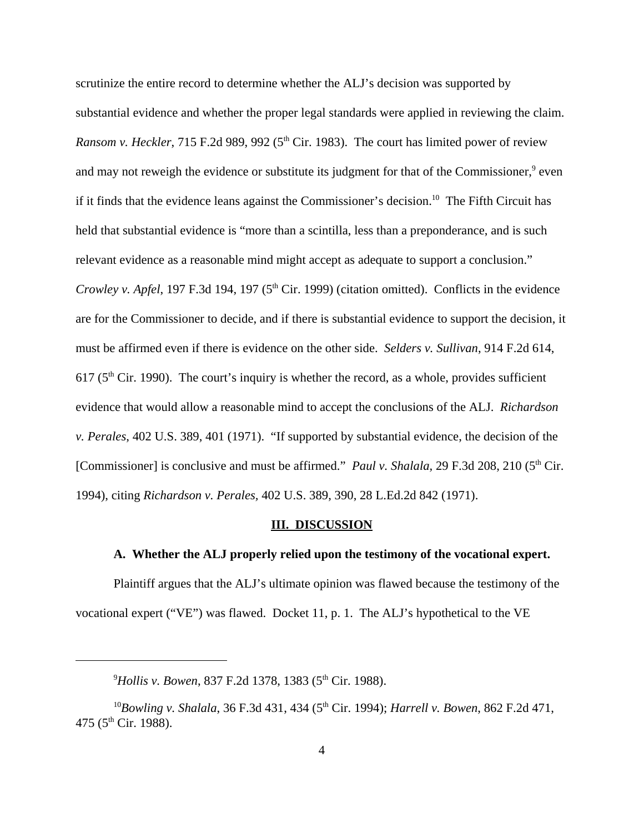scrutinize the entire record to determine whether the ALJ's decision was supported by substantial evidence and whether the proper legal standards were applied in reviewing the claim. *Ransom v. Heckler*, 715 F.2d 989, 992 ( $5<sup>th</sup>$  Cir. 1983). The court has limited power of review and may not reweigh the evidence or substitute its judgment for that of the Commissioner,<sup>9</sup> even if it finds that the evidence leans against the Commissioner's decision.<sup>10</sup> The Fifth Circuit has held that substantial evidence is "more than a scintilla, less than a preponderance, and is such relevant evidence as a reasonable mind might accept as adequate to support a conclusion." *Crowley v. Apfel*, 197 F.3d 194, 197 (5<sup>th</sup> Cir. 1999) (citation omitted). Conflicts in the evidence are for the Commissioner to decide, and if there is substantial evidence to support the decision, it must be affirmed even if there is evidence on the other side. *Selders v. Sullivan*, 914 F.2d 614,  $617$  ( $5<sup>th</sup>$  Cir. 1990). The court's inquiry is whether the record, as a whole, provides sufficient evidence that would allow a reasonable mind to accept the conclusions of the ALJ. *Richardson v. Perales*, 402 U.S. 389, 401 (1971). "If supported by substantial evidence, the decision of the [Commissioner] is conclusive and must be affirmed." *Paul v. Shalala,* 29 F.3d 208, 210 (5<sup>th</sup> Cir. 1994), citing *Richardson v. Perales,* 402 U.S. 389, 390, 28 L.Ed.2d 842 (1971).

#### **III. DISCUSSION**

### **A. Whether the ALJ properly relied upon the testimony of the vocational expert.**

Plaintiff argues that the ALJ's ultimate opinion was flawed because the testimony of the vocational expert ("VE") was flawed. Docket 11, p. 1. The ALJ's hypothetical to the VE

<sup>&</sup>lt;sup>9</sup>Hollis v. Bowen, 837 F.2d 1378, 1383 (5<sup>th</sup> Cir. 1988).

<sup>&</sup>lt;sup>10</sup>Bowling v. Shalala, 36 F.3d 431, 434 (5<sup>th</sup> Cir. 1994); *Harrell v. Bowen*, 862 F.2d 471, 475 (5<sup>th</sup> Cir. 1988).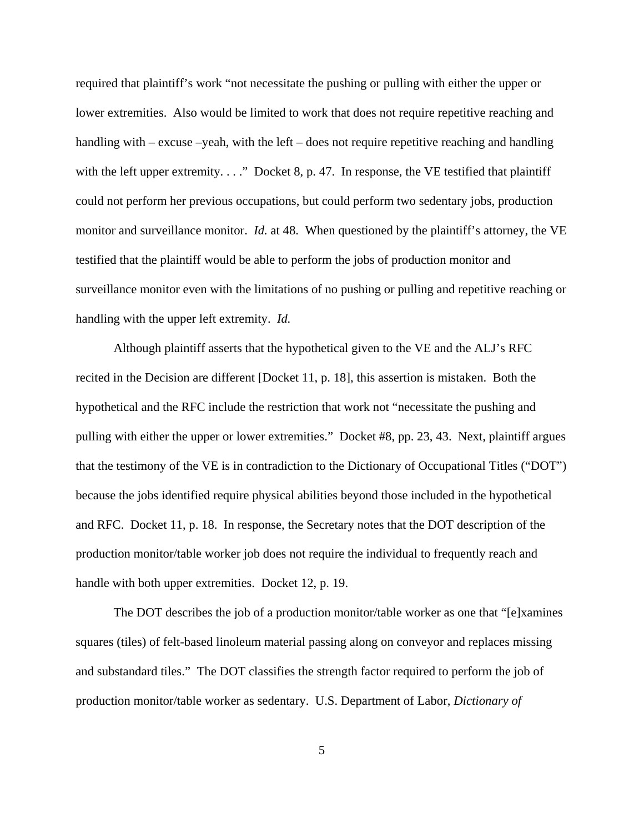required that plaintiff's work "not necessitate the pushing or pulling with either the upper or lower extremities. Also would be limited to work that does not require repetitive reaching and handling with – excuse –yeah, with the left – does not require repetitive reaching and handling with the left upper extremity. . . ." Docket 8, p. 47. In response, the VE testified that plaintiff could not perform her previous occupations, but could perform two sedentary jobs, production monitor and surveillance monitor. *Id.* at 48. When questioned by the plaintiff's attorney, the VE testified that the plaintiff would be able to perform the jobs of production monitor and surveillance monitor even with the limitations of no pushing or pulling and repetitive reaching or handling with the upper left extremity. *Id.*

Although plaintiff asserts that the hypothetical given to the VE and the ALJ's RFC recited in the Decision are different [Docket 11, p. 18], this assertion is mistaken. Both the hypothetical and the RFC include the restriction that work not "necessitate the pushing and pulling with either the upper or lower extremities." Docket #8, pp. 23, 43. Next, plaintiff argues that the testimony of the VE is in contradiction to the Dictionary of Occupational Titles ("DOT") because the jobs identified require physical abilities beyond those included in the hypothetical and RFC. Docket 11, p. 18. In response, the Secretary notes that the DOT description of the production monitor/table worker job does not require the individual to frequently reach and handle with both upper extremities. Docket 12, p. 19.

The DOT describes the job of a production monitor/table worker as one that "[e]xamines squares (tiles) of felt-based linoleum material passing along on conveyor and replaces missing and substandard tiles." The DOT classifies the strength factor required to perform the job of production monitor/table worker as sedentary. U.S. Department of Labor, *Dictionary of*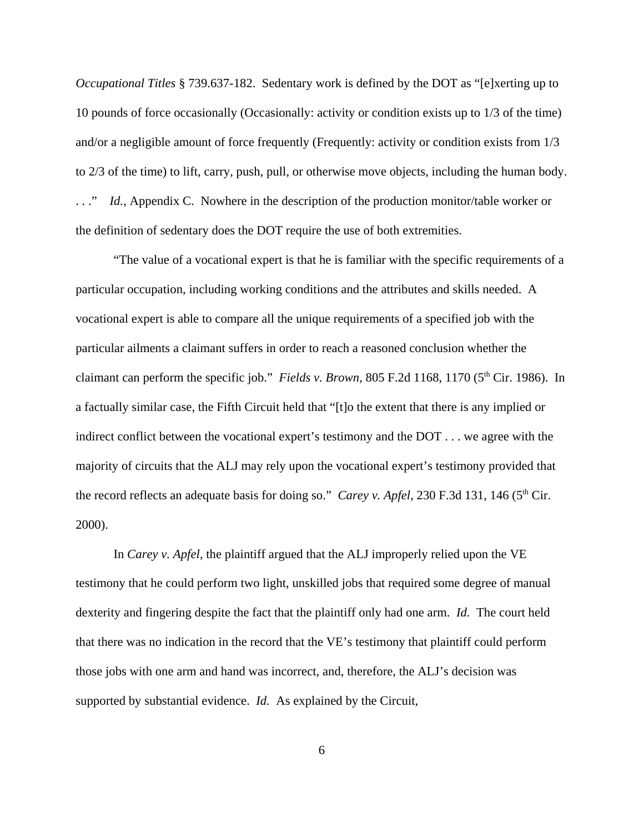*Occupational Titles* § 739.637-182. Sedentary work is defined by the DOT as "[e]xerting up to 10 pounds of force occasionally (Occasionally: activity or condition exists up to 1/3 of the time) and/or a negligible amount of force frequently (Frequently: activity or condition exists from 1/3 to 2/3 of the time) to lift, carry, push, pull, or otherwise move objects, including the human body. . . ." *Id.*, Appendix C. Nowhere in the description of the production monitor/table worker or the definition of sedentary does the DOT require the use of both extremities.

"The value of a vocational expert is that he is familiar with the specific requirements of a particular occupation, including working conditions and the attributes and skills needed. A vocational expert is able to compare all the unique requirements of a specified job with the particular ailments a claimant suffers in order to reach a reasoned conclusion whether the claimant can perform the specific job." *Fields v. Brown*, 805 F.2d 1168, 1170 ( $5<sup>th</sup>$  Cir. 1986). In a factually similar case, the Fifth Circuit held that "[t]o the extent that there is any implied or indirect conflict between the vocational expert's testimony and the DOT . . . we agree with the majority of circuits that the ALJ may rely upon the vocational expert's testimony provided that the record reflects an adequate basis for doing so." *Carey v. Apfel*, 230 F.3d 131, 146 (5<sup>th</sup> Cir. 2000).

In *Carey v. Apfel*, the plaintiff argued that the ALJ improperly relied upon the VE testimony that he could perform two light, unskilled jobs that required some degree of manual dexterity and fingering despite the fact that the plaintiff only had one arm. *Id.* The court held that there was no indication in the record that the VE's testimony that plaintiff could perform those jobs with one arm and hand was incorrect, and, therefore, the ALJ's decision was supported by substantial evidence. *Id.* As explained by the Circuit,

6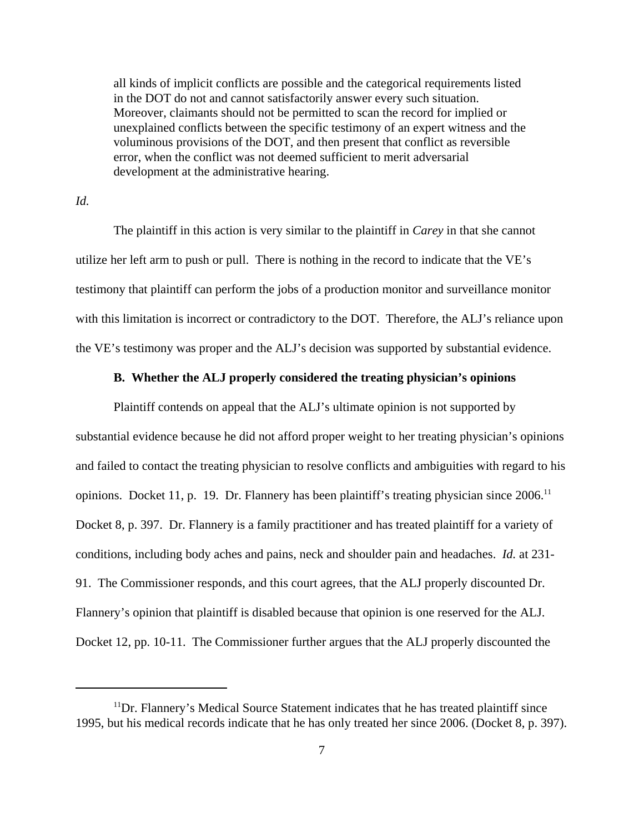all kinds of implicit conflicts are possible and the categorical requirements listed in the DOT do not and cannot satisfactorily answer every such situation. Moreover, claimants should not be permitted to scan the record for implied or unexplained conflicts between the specific testimony of an expert witness and the voluminous provisions of the DOT, and then present that conflict as reversible error, when the conflict was not deemed sufficient to merit adversarial development at the administrative hearing.

### *Id.*

The plaintiff in this action is very similar to the plaintiff in *Carey* in that she cannot utilize her left arm to push or pull. There is nothing in the record to indicate that the VE's testimony that plaintiff can perform the jobs of a production monitor and surveillance monitor with this limitation is incorrect or contradictory to the DOT. Therefore, the ALJ's reliance upon the VE's testimony was proper and the ALJ's decision was supported by substantial evidence.

## **B. Whether the ALJ properly considered the treating physician's opinions**

Plaintiff contends on appeal that the ALJ's ultimate opinion is not supported by substantial evidence because he did not afford proper weight to her treating physician's opinions and failed to contact the treating physician to resolve conflicts and ambiguities with regard to his opinions. Docket 11, p. 19. Dr. Flannery has been plaintiff's treating physician since  $2006$ .<sup>11</sup> Docket 8, p. 397. Dr. Flannery is a family practitioner and has treated plaintiff for a variety of conditions, including body aches and pains, neck and shoulder pain and headaches. *Id.* at 231- 91. The Commissioner responds, and this court agrees, that the ALJ properly discounted Dr. Flannery's opinion that plaintiff is disabled because that opinion is one reserved for the ALJ. Docket 12, pp. 10-11. The Commissioner further argues that the ALJ properly discounted the

 $11$ Dr. Flannery's Medical Source Statement indicates that he has treated plaintiff since 1995, but his medical records indicate that he has only treated her since 2006. (Docket 8, p. 397).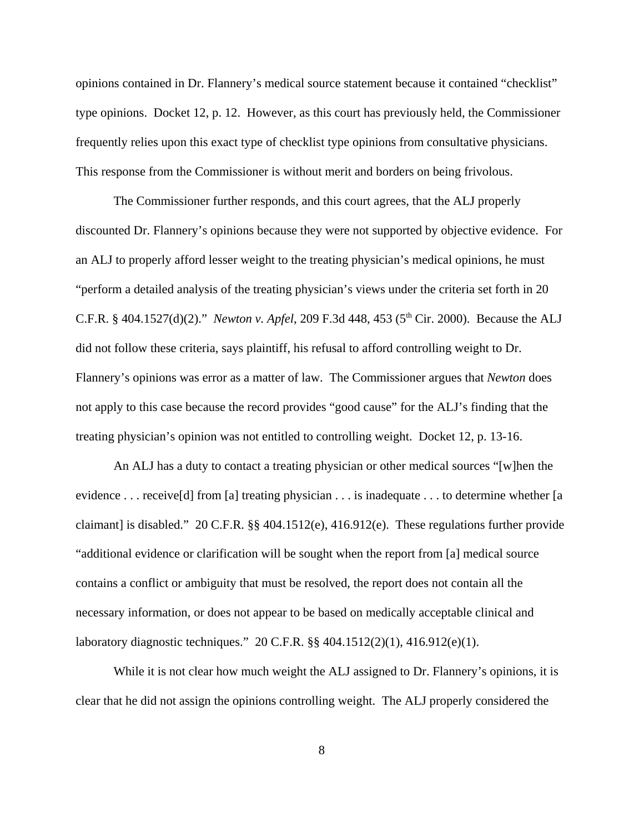opinions contained in Dr. Flannery's medical source statement because it contained "checklist" type opinions. Docket 12, p. 12. However, as this court has previously held, the Commissioner frequently relies upon this exact type of checklist type opinions from consultative physicians. This response from the Commissioner is without merit and borders on being frivolous.

 The Commissioner further responds, and this court agrees, that the ALJ properly discounted Dr. Flannery's opinions because they were not supported by objective evidence. For an ALJ to properly afford lesser weight to the treating physician's medical opinions, he must "perform a detailed analysis of the treating physician's views under the criteria set forth in 20 C.F.R. § 404.1527(d)(2)." *Newton v. Apfel*, 209 F.3d 448, 453 (5th Cir. 2000). Because the ALJ did not follow these criteria, says plaintiff, his refusal to afford controlling weight to Dr. Flannery's opinions was error as a matter of law. The Commissioner argues that *Newton* does not apply to this case because the record provides "good cause" for the ALJ's finding that the treating physician's opinion was not entitled to controlling weight. Docket 12, p. 13-16.

An ALJ has a duty to contact a treating physician or other medical sources "[w]hen the evidence . . . receive[d] from [a] treating physician . . . is inadequate . . . to determine whether [a claimant] is disabled." 20 C.F.R. §§ 404.1512(e), 416.912(e). These regulations further provide "additional evidence or clarification will be sought when the report from [a] medical source contains a conflict or ambiguity that must be resolved, the report does not contain all the necessary information, or does not appear to be based on medically acceptable clinical and laboratory diagnostic techniques." 20 C.F.R. §§ 404.1512(2)(1), 416.912(e)(1).

While it is not clear how much weight the ALJ assigned to Dr. Flannery's opinions, it is clear that he did not assign the opinions controlling weight. The ALJ properly considered the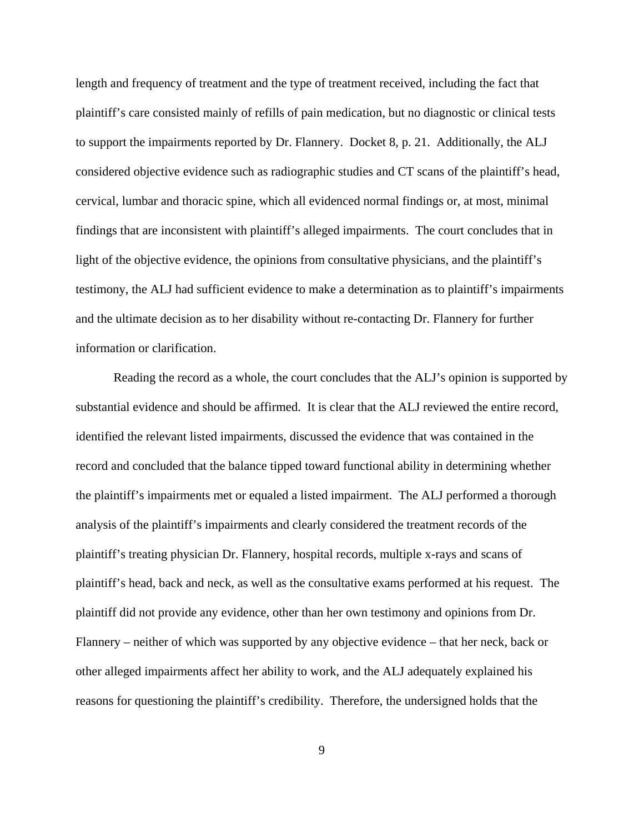length and frequency of treatment and the type of treatment received, including the fact that plaintiff's care consisted mainly of refills of pain medication, but no diagnostic or clinical tests to support the impairments reported by Dr. Flannery. Docket 8, p. 21. Additionally, the ALJ considered objective evidence such as radiographic studies and CT scans of the plaintiff's head, cervical, lumbar and thoracic spine, which all evidenced normal findings or, at most, minimal findings that are inconsistent with plaintiff's alleged impairments. The court concludes that in light of the objective evidence, the opinions from consultative physicians, and the plaintiff's testimony, the ALJ had sufficient evidence to make a determination as to plaintiff's impairments and the ultimate decision as to her disability without re-contacting Dr. Flannery for further information or clarification.

Reading the record as a whole, the court concludes that the ALJ's opinion is supported by substantial evidence and should be affirmed. It is clear that the ALJ reviewed the entire record, identified the relevant listed impairments, discussed the evidence that was contained in the record and concluded that the balance tipped toward functional ability in determining whether the plaintiff's impairments met or equaled a listed impairment. The ALJ performed a thorough analysis of the plaintiff's impairments and clearly considered the treatment records of the plaintiff's treating physician Dr. Flannery, hospital records, multiple x-rays and scans of plaintiff's head, back and neck, as well as the consultative exams performed at his request. The plaintiff did not provide any evidence, other than her own testimony and opinions from Dr. Flannery – neither of which was supported by any objective evidence – that her neck, back or other alleged impairments affect her ability to work, and the ALJ adequately explained his reasons for questioning the plaintiff's credibility. Therefore, the undersigned holds that the

9